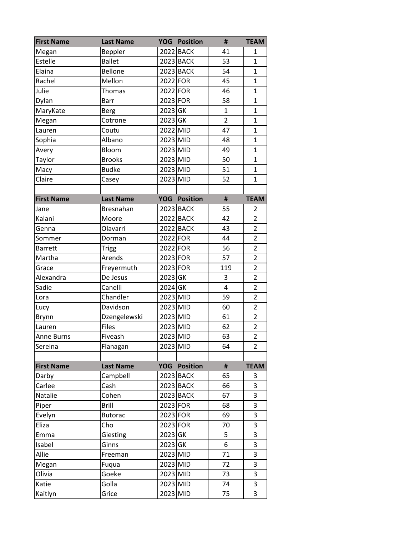| <b>First Name</b> | <b>Last Name</b> |            | <b>YOG</b> Position | #              | <b>TEAM</b>    |
|-------------------|------------------|------------|---------------------|----------------|----------------|
| Megan             | Beppler          |            | 2022 BACK           | 41             | $\mathbf{1}$   |
| Estelle           | <b>Ballet</b>    |            | 2023 BACK           | 53             | $\mathbf{1}$   |
| Elaina            | Bellone          |            | 2023 BACK           | 54             | 1              |
| Rachel            | Mellon           | 2022 FOR   |                     | 45             | $\mathbf{1}$   |
| Julie             | <b>Thomas</b>    | 2022 FOR   |                     | 46             | $\mathbf 1$    |
| Dylan             | Barr             | 2023 FOR   |                     | 58             | $\mathbf 1$    |
| MaryKate          | <b>Berg</b>      | 2023 GK    |                     | $\mathbf{1}$   | 1              |
| Megan             | Cotrone          | 2023 GK    |                     | $\overline{2}$ | $\mathbf{1}$   |
| Lauren            | Coutu            | 2022 MID   |                     | 47             | $\mathbf{1}$   |
| Sophia            | Albano           | 2023 MID   |                     | 48             | $\mathbf{1}$   |
| Avery             | Bloom            | 2023 MID   |                     | 49             | $\mathbf 1$    |
| Taylor            | <b>Brooks</b>    | 2023 MID   |                     | 50             | 1              |
| Macy              | <b>Budke</b>     | 2023 MID   |                     | 51             | 1              |
| Claire            | Casey            | 2023 MID   |                     | 52             | 1              |
| <b>First Name</b> | <b>Last Name</b> |            | <b>YOG Position</b> | #              | <b>TEAM</b>    |
| Jane              | Bresnahan        |            | 2023 BACK           | 55             | 2              |
| Kalani            | Moore            |            | 2022 BACK           | 42             | $\overline{2}$ |
| Genna             | Olavarri         |            | 2022 BACK           | 43             | $\overline{2}$ |
| Sommer            | Dorman           | 2022 FOR   |                     | 44             | $\overline{2}$ |
| <b>Barrett</b>    | <b>Trigg</b>     | 2022 FOR   |                     | 56             | $\overline{2}$ |
| Martha            | Arends           | 2023 FOR   |                     | 57             | $\overline{2}$ |
| Grace             | Freyermuth       | 2023 FOR   |                     | 119            | $\overline{2}$ |
| Alexandra         | De Jesus         | $2023$ GK  |                     | 3              | $\overline{2}$ |
| Sadie             | Canelli          | 2024 GK    |                     | 4              | $\overline{2}$ |
| Lora              | Chandler         | 2023 MID   |                     | 59             | $\overline{2}$ |
| Lucy              | Davidson         | 2023 MID   |                     | 60             | $\overline{2}$ |
| <b>Brynn</b>      | Dzengelewski     | 2023 MID   |                     | 61             | $\overline{2}$ |
| Lauren            | <b>Files</b>     | 2023 MID   |                     | 62             | $\overline{2}$ |
| <b>Anne Burns</b> | Fiveash          | 2023 MID   |                     | 63             | $\overline{2}$ |
| Sereina           | Flanagan         | 2023 MID   |                     | 64             | 2              |
|                   |                  |            |                     |                |                |
| <b>First Name</b> | <b>Last Name</b> |            | <b>YOG Position</b> | #              | <b>TEAM</b>    |
| Darby             | Campbell         |            | 2023 BACK           | 65             | 3              |
| Carlee            | Cash             |            | 2023 BACK           | 66             | 3              |
| Natalie           | Cohen            |            | $2023$ BACK         | 67             | 3              |
|                   |                  |            |                     |                |                |
| Piper             | <b>Brill</b>     | $2023$ FOR |                     | 68             | 3              |
| Evelyn            | <b>Butorac</b>   | $2023$ FOR |                     | 69             | 3              |
| Eliza             | Cho              | $2023$ FOR |                     | 70             | 3              |
| Emma              | Giesting         | $2023$ GK  |                     | 5              | 3              |
| Isabel            | Ginns            | 2023 GK    |                     | 6              | 3              |
| Allie             | Freeman          | 2023 MID   |                     | 71             | 3              |
| Megan             | Fuqua            | 2023 MID   |                     | 72             | 3              |
| Olivia            | Goeke            | 2023 MID   |                     | 73             | 3              |
| Katie             | Golla            | 2023 MID   |                     | 74             | 3              |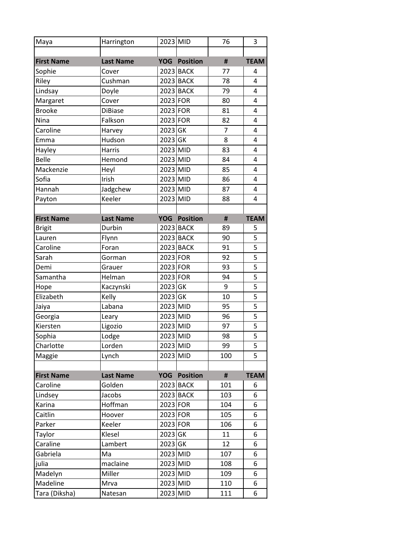| Maya              | Harrington       | 2023 MID   |                 | 76  | 3              |
|-------------------|------------------|------------|-----------------|-----|----------------|
|                   |                  |            |                 |     |                |
| <b>First Name</b> | <b>Last Name</b> | <b>YOG</b> | <b>Position</b> | #   | <b>TEAM</b>    |
| Sophie            | Cover            |            | 2023 BACK       | 77  | 4              |
| Riley             | Cushman          |            | 2023 BACK       | 78  | 4              |
| Lindsay           | Doyle            |            | 2023 BACK       | 79  | 4              |
| Margaret          | Cover            | 2023 FOR   |                 | 80  | $\overline{4}$ |
| <b>Brooke</b>     | <b>DiBiase</b>   | 2023 FOR   |                 | 81  | 4              |
| Nina              | Falkson          | 2023 FOR   |                 | 82  | 4              |
| Caroline          | Harvey           | 2023 GK    |                 | 7   | 4              |
| Emma              | Hudson           | 2023 GK    |                 | 8   | 4              |
| Hayley            | Harris           | 2023 MID   |                 | 83  | 4              |
| <b>Belle</b>      | Hemond           | 2023 MID   |                 | 84  | 4              |
| Mackenzie         | Heyl             | 2023 MID   |                 | 85  | 4              |
| Sofia             | Irish            | 2023 MID   |                 | 86  | 4              |
| Hannah            | Jadgchew         | 2023 MID   |                 | 87  | 4              |
| Payton            | Keeler           | 2023 MID   |                 | 88  | 4              |
|                   |                  |            |                 |     |                |
| <b>First Name</b> | <b>Last Name</b> | <b>YOG</b> | <b>Position</b> | #   | <b>TEAM</b>    |
| <b>Brigit</b>     | Durbin           |            | 2023 BACK       | 89  | 5              |
| Lauren            | Flynn            |            | 2023 BACK       | 90  | 5              |
| Caroline          | Foran            |            | 2023 BACK       | 91  | $\overline{5}$ |
| Sarah             | Gorman           | 2023 FOR   |                 | 92  | 5              |
| Demi              | Grauer           | 2023 FOR   |                 | 93  | 5              |
| Samantha          | Helman           | 2023 FOR   |                 | 94  | 5              |
| Hope              | Kaczynski        | 2023 GK    |                 | 9   | 5              |
| Elizabeth         | Kelly            | 2023 GK    |                 | 10  | 5              |
| Jaiya             | Labana           | 2023 MID   |                 | 95  | 5              |
| Georgia           | Leary            | 2023 MID   |                 | 96  | 5              |
| Kiersten          | Ligozio          | 2023 MID   |                 | 97  | 5              |
| Sophia            | Lodge            | 2023 MID   |                 | 98  | 5              |
| Charlotte         | Lorden           | 2023 MID   |                 | 99  | 5              |
| Maggie            | Lynch            | 2023 MID   |                 | 100 | 5              |
|                   |                  |            |                 |     |                |
| <b>First Name</b> | <b>Last Name</b> | <b>YOG</b> | <b>Position</b> | #   | <b>TEAM</b>    |
| Caroline          | Golden           |            | 2023 BACK       | 101 | 6              |
| Lindsey           | Jacobs           |            | 2023 BACK       | 103 | 6              |
| Karina            | Hoffman          | 2023 FOR   |                 | 104 | 6              |
| Caitlin           | Hoover           | 2023 FOR   |                 | 105 | 6              |
| Parker            | Keeler           | 2023 FOR   |                 | 106 | 6              |
| Taylor            | Klesel           | 2023 GK    |                 | 11  | 6              |
| Caraline          | Lambert          | 2023 GK    |                 | 12  | 6              |
| Gabriela          | Ma               | 2023 MID   |                 | 107 | 6              |
| julia             | maclaine         | 2023 MID   |                 | 108 | 6              |
| Madelyn           | Miller           | 2023 MID   |                 | 109 | 6              |
| Madeline          | Mrva             | 2023 MID   |                 | 110 | 6              |
| Tara (Diksha)     | Natesan          | 2023 MID   |                 | 111 | 6              |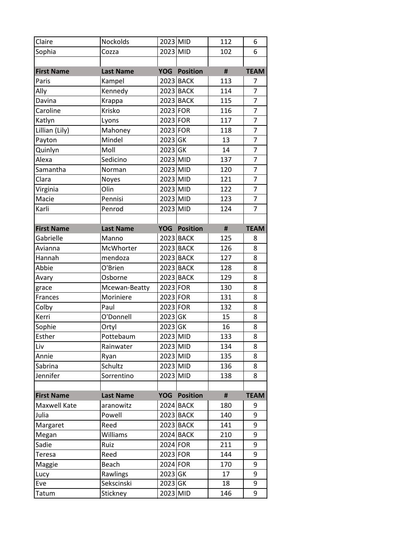| Claire            | Nockolds         | 2023 MID   |                 | 112            | 6              |
|-------------------|------------------|------------|-----------------|----------------|----------------|
| Sophia            | Cozza            | 2023 MID   |                 | 102            | 6              |
|                   |                  |            |                 |                |                |
| <b>First Name</b> | <b>Last Name</b> | <b>YOG</b> | <b>Position</b> | $\sharp\sharp$ | <b>TEAM</b>    |
| Paris             | Kampel           |            | 2023 BACK       | 113            | 7              |
| Ally              | Kennedy          |            | 2023 BACK       | 114            | $\overline{7}$ |
| Davina            | Krappa           |            | 2023 BACK       | 115            | $\overline{7}$ |
| Caroline          | Krisko           | 2023 FOR   |                 | 116            | 7              |
| Katlyn            | Lyons            | 2023 FOR   |                 | 117            | $\overline{7}$ |
| Lillian (Lily)    | Mahoney          | 2023 FOR   |                 | 118            | 7              |
| Payton            | Mindel           | 2023 GK    |                 | 13             | $\overline{7}$ |
| Quinlyn           | Moll             | 2023 GK    |                 | 14             | $\overline{7}$ |
| Alexa             | Sedicino         | 2023 MID   |                 | 137            | $\overline{7}$ |
| Samantha          | Norman           | 2023 MID   |                 | 120            | $\overline{7}$ |
| Clara             | Noyes            | 2023 MID   |                 | 121            | 7              |
| Virginia          | Olin             | 2023 MID   |                 | 122            | $\overline{7}$ |
| Macie             | Pennisi          | 2023 MID   |                 | 123            | $\overline{7}$ |
| Karli             | Penrod           | 2023 MID   |                 | 124            | $\overline{7}$ |
|                   |                  |            |                 |                |                |
| <b>First Name</b> | <b>Last Name</b> | <b>YOG</b> | <b>Position</b> | $\sharp\sharp$ | <b>TEAM</b>    |
| Gabrielle         | Manno            |            | 2023 BACK       | 125            | 8              |
| Avianna           | McWhorter        |            | 2023 BACK       | 126            | 8              |
| Hannah            | mendoza          |            | 2023 BACK       | 127            | 8              |
| Abbie             | O'Brien          |            | 2023 BACK       | 128            | 8              |
| Avary             | Osborne          |            | 2023 BACK       | 129            | 8              |
| grace             | Mcewan-Beatty    | 2023 FOR   |                 | 130            | 8              |
| Frances           | Moriniere        | 2023 FOR   |                 | 131            | 8              |
| Colby             | Paul             | 2023 FOR   |                 | 132            | 8              |
| Kerri             | O'Donnell        | 2023 GK    |                 | 15             | 8              |
| Sophie            | Ortyl            | 2023 GK    |                 | 16             | 8              |
| Esther            | Pottebaum        | 2023 MID   |                 | 133            | 8              |
| Liv               | Rainwater        | 2023 MID   |                 | 134            | 8              |
| Annie             | Ryan             | 2023 MID   |                 | 135            | 8              |
| Sabrina           | Schultz          | 2023 MID   |                 | 136            | 8              |
| Jennifer          | Sorrentino       | 2023 MID   |                 | 138            | 8              |
|                   |                  |            |                 |                |                |
| <b>First Name</b> | <b>Last Name</b> | <b>YOG</b> | <b>Position</b> | #              | <b>TEAM</b>    |
| Maxwell Kate      | aranowitz        |            | 2024 BACK       | 180            | 9              |
| Julia             | Powell           |            | 2023 BACK       | 140            | 9              |
| Margaret          | Reed             |            | 2023 BACK       | 141            | 9              |
| Megan             | Williams         |            | 2024 BACK       | 210            | 9              |
| Sadie             | Ruiz             | $2024$ FOR |                 | 211            | 9              |
| Teresa            | Reed             | 2023 FOR   |                 | 144            | 9              |
| Maggie            | Beach            | 2024 FOR   |                 | 170            | 9              |
| Lucy              | Rawlings         | 2023 GK    |                 | 17             | 9              |
| Eve               | Sekscinski       | $2023$ GK  |                 | 18             | 9              |
| Tatum             | Stickney         | 2023 MID   |                 | 146            | 9              |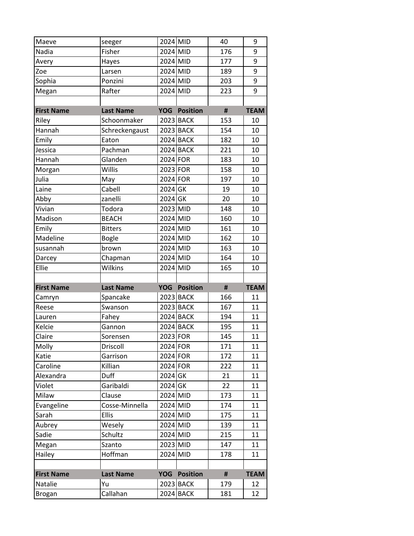| Maeve                    | seeger           | 2024 MID   |                        | 40             | 9           |
|--------------------------|------------------|------------|------------------------|----------------|-------------|
| Nadia                    | Fisher           | 2024 MID   |                        | 176            | 9           |
| Avery                    | Hayes            | $2024$ MID |                        | 177            | 9           |
| Zoe                      | Larsen           | 2024 MID   |                        | 189            | 9           |
| Sophia                   | Ponzini          | 2024 MID   |                        | 203            | 9           |
| Megan                    | Rafter           | 2024 MID   |                        | 223            | 9           |
|                          |                  |            |                        |                |             |
| <b>First Name</b>        | <b>Last Name</b> | <b>YOG</b> | <b>Position</b>        | $\sharp\sharp$ | <b>TEAM</b> |
| Riley                    | Schoonmaker      |            | 2023 BACK              | 153            | 10          |
| Hannah                   | Schreckengaust   |            | 2023 BACK              | 154            | 10          |
| Emily                    | Eaton            |            | 2024 BACK              | 182            | 10          |
| Jessica                  | Pachman          |            | 2024 BACK              | 221            | 10          |
| Hannah                   | Glanden          | 2024 FOR   |                        | 183            | 10          |
| Morgan                   | Willis           | 2023 FOR   |                        | 158            | 10          |
| Julia                    | May              | 2024 FOR   |                        | 197            | 10          |
| Laine                    | Cabell           | 2024 GK    |                        | 19             | 10          |
| Abby                     | zanelli          | 2024 GK    |                        | 20             | 10          |
| Vivian                   | Todora           | 2023 MID   |                        | 148            | 10          |
| Madison                  | <b>BEACH</b>     | 2024 MID   |                        | 160            | 10          |
| Emily                    | <b>Bitters</b>   | 2024 MID   |                        | 161            | 10          |
| Madeline                 | <b>Bogle</b>     | 2024 MID   |                        | 162            | 10          |
| susannah                 | brown            | 2024 MID   |                        | 163            | 10          |
| Darcey                   | Chapman          | 2024 MID   |                        | 164            | 10          |
| Ellie                    | Wilkins          | 2024 MID   |                        | 165            | 10          |
|                          |                  |            |                        |                |             |
|                          |                  |            |                        |                |             |
| <b>First Name</b>        | <b>Last Name</b> | <b>YOG</b> | <b>Position</b>        | #              | <b>TEAM</b> |
| Camryn                   | Spancake         |            | 2023 BACK              | 166            | 11          |
| Reese                    | Swanson          |            | 2023 BACK              | 167            | 11          |
| Lauren                   | Fahey            |            | 2024 BACK              | 194            | 11          |
| Kelcie                   | Gannon           |            | 2024 BACK              | 195            | 11          |
| Claire                   | Sorensen         | 2023 FOR   |                        | 145            | 11          |
| Molly                    | Driscoll         | 2024 FOR   |                        | 171            | 11          |
| Katie                    | Garrison         | 2024 FOR   |                        | 172            | 11          |
| Caroline                 | Killian          | 2024 FOR   |                        | 222            | 11          |
| Alexandra                | Duff             | 2024 GK    |                        | 21             | 11          |
| Violet                   | Garibaldi        | 2024 GK    |                        | 22             | 11          |
| Milaw                    | Clause           | 2024 MID   |                        | 173            | 11          |
| Evangeline               | Cosse-Minnella   | 2024 MID   |                        | 174            | 11          |
| Sarah                    | Ellis            | 2024 MID   |                        | 175            | 11          |
| Aubrey                   | Wesely           | 2024 MID   |                        | 139            | 11          |
| Sadie                    | Schultz          | 2024 MID   |                        | 215            | 11          |
| Megan                    | Szanto           | 2023 MID   |                        | 147            | 11          |
| Hailey                   | Hoffman          | 2024 MID   |                        | 178            | 11          |
|                          |                  |            |                        |                |             |
| <b>First Name</b>        | <b>Last Name</b> | <b>YOG</b> | <b>Position</b>        | $\pmb{\sharp}$ | <b>TEAM</b> |
| Natalie<br><b>Brogan</b> | Yu<br>Callahan   |            | 2023 BACK<br>2024 BACK | 179<br>181     | 12<br>12    |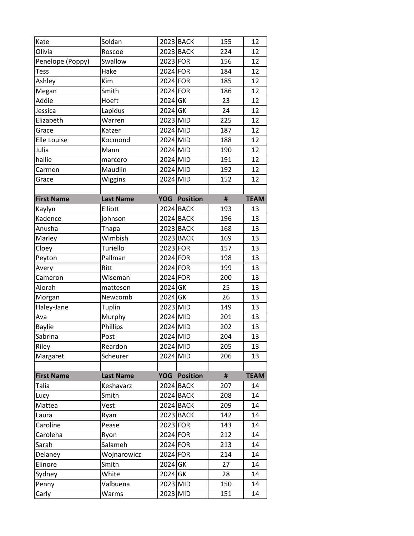| Kate              | Soldan           |            | 2023 BACK           | 155 | 12          |
|-------------------|------------------|------------|---------------------|-----|-------------|
| Olivia            | Roscoe           |            | 2023 BACK           | 224 | 12          |
| Penelope (Poppy)  | Swallow          | $2023$ FOR |                     | 156 | 12          |
| Tess              | Hake             | $2024$ FOR |                     | 184 | 12          |
| Ashley            | Kim              | 2024 FOR   |                     | 185 | 12          |
| Megan             | Smith            | $2024$ FOR |                     | 186 | 12          |
| Addie             | Hoeft            | 2024 GK    |                     | 23  | 12          |
| Jessica           | Lapidus          | $2024$ GK  |                     | 24  | 12          |
| Elizabeth         | Warren           | 2023 MID   |                     | 225 | 12          |
| Grace             | Katzer           | 2024 MID   |                     | 187 | 12          |
| Elle Louise       | Kocmond          | $2024$ MID |                     | 188 | 12          |
| Julia             | Mann             | $2024$ MID |                     | 190 | 12          |
| hallie            | marcero          | 2024 MID   |                     | 191 | 12          |
| Carmen            | Maudlin          | 2024 MID   |                     | 192 | 12          |
| Grace             | Wiggins          | 2024 MID   |                     | 152 | 12          |
|                   |                  |            |                     |     |             |
| <b>First Name</b> | <b>Last Name</b> | <b>YOG</b> | <b>Position</b>     | #   | <b>TEAM</b> |
| Kaylyn            | Elliott          |            | 2024 BACK           | 193 | 13          |
| Kadence           | johnson          |            | 2024 BACK           | 196 | 13          |
| Anusha            | Thapa            |            | 2023 BACK           | 168 | 13          |
| Marley            | Wimbish          |            | 2023 BACK           | 169 | 13          |
| Cloey             | Turiello         | 2023 FOR   |                     | 157 | 13          |
| Peyton            | Pallman          | $2024$ FOR |                     | 198 | 13          |
| Avery             | Ritt             | 2024 FOR   |                     | 199 | 13          |
| Cameron           | Wiseman          | 2024 FOR   |                     | 200 | 13          |
| Alorah            | matteson         | 2024 GK    |                     | 25  | 13          |
| Morgan            | Newcomb          | 2024 GK    |                     | 26  | 13          |
| Haley-Jane        | Tuplin           | 2023 MID   |                     | 149 | 13          |
| Ava               | Murphy           | 2024 MID   |                     | 201 | 13          |
| <b>Baylie</b>     | Phillips         | 2024 MID   |                     | 202 | 13          |
| Sabrina           | Post             | 2024 MID   |                     | 204 | 13          |
| Riley             | Reardon          | 2024 MID   |                     | 205 | 13          |
| Margaret          | Scheurer         | 2024 MID   |                     | 206 | 13          |
|                   |                  |            |                     |     |             |
| <b>First Name</b> | <b>Last Name</b> |            | <b>YOG Position</b> | #   | <b>TEAM</b> |
| Talia             | Keshavarz        |            | 2024 BACK           | 207 | 14          |
| Lucy              | Smith            |            | 2024 BACK           | 208 | 14          |
| Mattea            | Vest             |            | 2024 BACK           | 209 | 14          |
| Laura             | Ryan             |            | 2023 BACK           | 142 | 14          |
| Caroline          | Pease            | 2023 FOR   |                     | 143 | 14          |
| Carolena          | Ryon             | $2024$ FOR |                     | 212 | 14          |
| Sarah             | Salameh          | $2024$ FOR |                     | 213 | 14          |
| Delaney           | Wojnarowicz      | 2024 FOR   |                     | 214 | 14          |
| Elinore           | Smith            | 2024 GK    |                     | 27  | 14          |
| Sydney            | White            | 2024 GK    |                     | 28  | 14          |
| Penny             | Valbuena         | 2023 MID   |                     | 150 | 14          |
| Carly             | Warms            | 2023 MID   |                     | 151 | 14          |